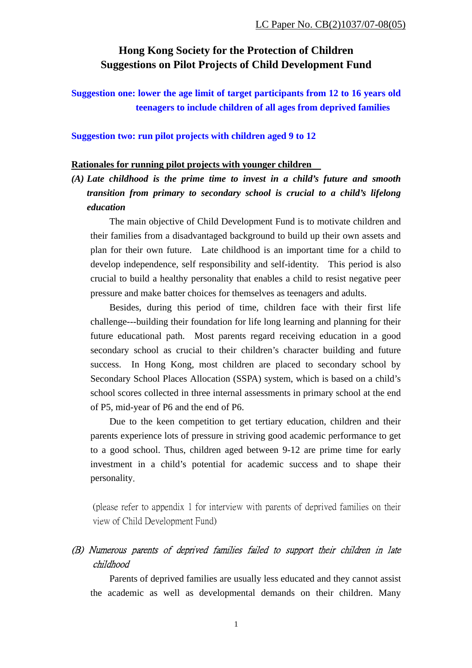# **Hong Kong Society for the Protection of Children Suggestions on Pilot Projects of Child Development Fund**

**Suggestion one: lower the age limit of target participants from 12 to 16 years old teenagers to include children of all ages from deprived families** 

### **Suggestion two: run pilot projects with children aged 9 to 12**

#### **Rationales for running pilot projects with younger children**

*(A) Late childhood is the prime time to invest in a child's future and smooth transition from primary to secondary school is crucial to a child's lifelong education* 

The main objective of Child Development Fund is to motivate children and their families from a disadvantaged background to build up their own assets and plan for their own future. Late childhood is an important time for a child to develop independence, self responsibility and self-identity. This period is also crucial to build a healthy personality that enables a child to resist negative peer pressure and make batter choices for themselves as teenagers and adults.

Besides, during this period of time, children face with their first life challenge---building their foundation for life long learning and planning for their future educational path. Most parents regard receiving education in a good secondary school as crucial to their children's character building and future success. In Hong Kong, most children are placed to secondary school by Secondary School Places Allocation (SSPA) system, which is based on a child's school scores collected in three internal assessments in primary school at the end of P5, mid-year of P6 and the end of P6.

Due to the keen competition to get tertiary education, children and their parents experience lots of pressure in striving good academic performance to get to a good school. Thus, children aged between 9-12 are prime time for early investment in a child's potential for academic success and to shape their personality.

 (please refer to appendix 1 for interview with parents of deprived families on their view of Child Development Fund)

## (B) Numerous parents of deprived families failed to support their children in late childhood

Parents of deprived families are usually less educated and they cannot assist the academic as well as developmental demands on their children. Many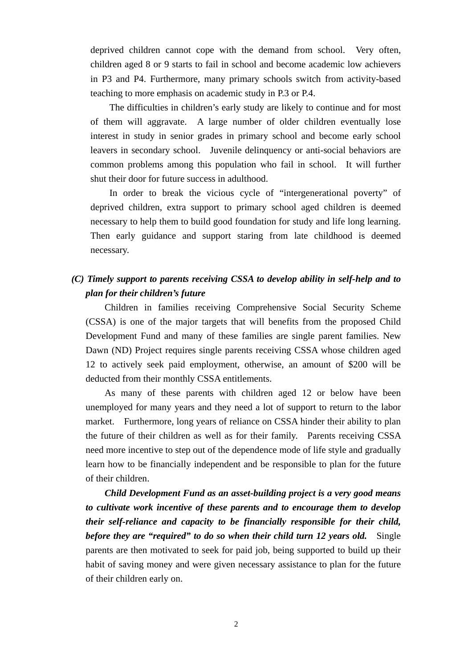deprived children cannot cope with the demand from school. Very often, children aged 8 or 9 starts to fail in school and become academic low achievers in P3 and P4. Furthermore, many primary schools switch from activity-based teaching to more emphasis on academic study in P.3 or P.4.

The difficulties in children's early study are likely to continue and for most of them will aggravate. A large number of older children eventually lose interest in study in senior grades in primary school and become early school leavers in secondary school. Juvenile delinquency or anti-social behaviors are common problems among this population who fail in school. It will further shut their door for future success in adulthood.

In order to break the vicious cycle of "intergenerational poverty" of deprived children, extra support to primary school aged children is deemed necessary to help them to build good foundation for study and life long learning. Then early guidance and support staring from late childhood is deemed necessary.

## *(C) Timely support to parents receiving CSSA to develop ability in self-help and to plan for their children's future*

Children in families receiving Comprehensive Social Security Scheme (CSSA) is one of the major targets that will benefits from the proposed Child Development Fund and many of these families are single parent families. New Dawn (ND) Project requires single parents receiving CSSA whose children aged 12 to actively seek paid employment, otherwise, an amount of \$200 will be deducted from their monthly CSSA entitlements.

As many of these parents with children aged 12 or below have been unemployed for many years and they need a lot of support to return to the labor market. Furthermore, long years of reliance on CSSA hinder their ability to plan the future of their children as well as for their family. Parents receiving CSSA need more incentive to step out of the dependence mode of life style and gradually learn how to be financially independent and be responsible to plan for the future of their children.

*Child Development Fund as an asset-building project is a very good means to cultivate work incentive of these parents and to encourage them to develop their self-reliance and capacity to be financially responsible for their child, before they are "required" to do so when their child turn 12 years old.* Single parents are then motivated to seek for paid job, being supported to build up their habit of saving money and were given necessary assistance to plan for the future of their children early on.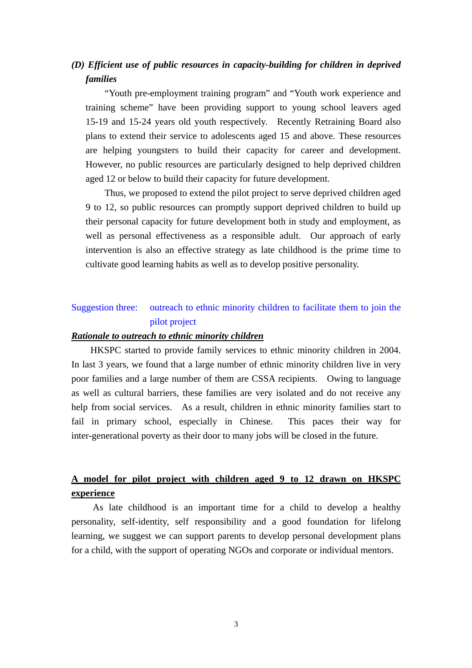# *(D) Efficient use of public resources in capacity-building for children in deprived families*

"Youth pre-employment training program" and "Youth work experience and training scheme" have been providing support to young school leavers aged 15-19 and 15-24 years old youth respectively. Recently Retraining Board also plans to extend their service to adolescents aged 15 and above. These resources are helping youngsters to build their capacity for career and development. However, no public resources are particularly designed to help deprived children aged 12 or below to build their capacity for future development.

Thus, we proposed to extend the pilot project to serve deprived children aged 9 to 12, so public resources can promptly support deprived children to build up their personal capacity for future development both in study and employment, as well as personal effectiveness as a responsible adult. Our approach of early intervention is also an effective strategy as late childhood is the prime time to cultivate good learning habits as well as to develop positive personality.

## Suggestion three: outreach to ethnic minority children to facilitate them to join the pilot project

### *Rationale to outreach to ethnic minority children*

 HKSPC started to provide family services to ethnic minority children in 2004. In last 3 years, we found that a large number of ethnic minority children live in very poor families and a large number of them are CSSA recipients. Owing to language as well as cultural barriers, these families are very isolated and do not receive any help from social services. As a result, children in ethnic minority families start to fail in primary school, especially in Chinese. This paces their way for inter-generational poverty as their door to many jobs will be closed in the future.

# **A model for pilot project with children aged 9 to 12 drawn on HKSPC experience**

As late childhood is an important time for a child to develop a healthy personality, self-identity, self responsibility and a good foundation for lifelong learning, we suggest we can support parents to develop personal development plans for a child, with the support of operating NGOs and corporate or individual mentors.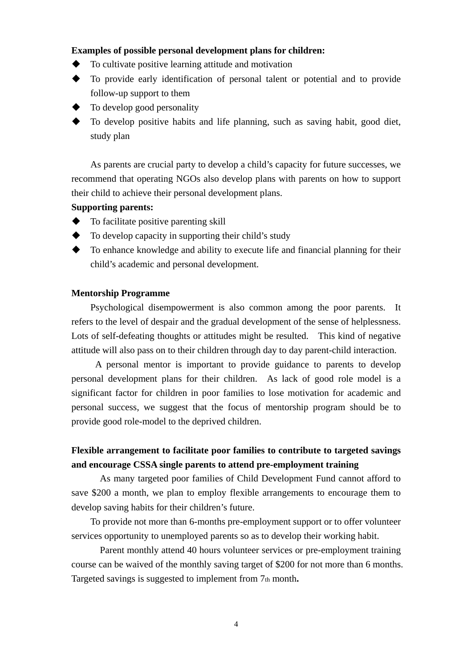### **Examples of possible personal development plans for children:**

- To cultivate positive learning attitude and motivation
- To provide early identification of personal talent or potential and to provide follow-up support to them
- To develop good personality
- To develop positive habits and life planning, such as saving habit, good diet, study plan

As parents are crucial party to develop a child's capacity for future successes, we recommend that operating NGOs also develop plans with parents on how to support their child to achieve their personal development plans.

### **Supporting parents:**

- $\blacklozenge$  To facilitate positive parenting skill
- To develop capacity in supporting their child's study
- $\blacklozenge$  To enhance knowledge and ability to execute life and financial planning for their child's academic and personal development.

#### **Mentorship Programme**

Psychological disempowerment is also common among the poor parents. It refers to the level of despair and the gradual development of the sense of helplessness. Lots of self-defeating thoughts or attitudes might be resulted. This kind of negative attitude will also pass on to their children through day to day parent-child interaction.

A personal mentor is important to provide guidance to parents to develop personal development plans for their children. As lack of good role model is a significant factor for children in poor families to lose motivation for academic and personal success, we suggest that the focus of mentorship program should be to provide good role-model to the deprived children.

## **Flexible arrangement to facilitate poor families to contribute to targeted savings and encourage CSSA single parents to attend pre-employment training**

As many targeted poor families of Child Development Fund cannot afford to save \$200 a month, we plan to employ flexible arrangements to encourage them to develop saving habits for their children's future.

To provide not more than 6-months pre-employment support or to offer volunteer services opportunity to unemployed parents so as to develop their working habit.

Parent monthly attend 40 hours volunteer services or pre-employment training course can be waived of the monthly saving target of \$200 for not more than 6 months. Targeted savings is suggested to implement from 7th month.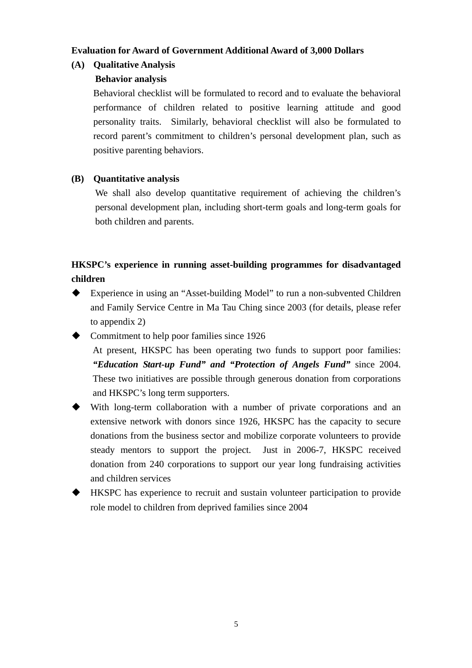### **Evaluation for Award of Government Additional Award of 3,000 Dollars**

## **(A) Qualitative Analysis**

### **Behavior analysis**

Behavioral checklist will be formulated to record and to evaluate the behavioral performance of children related to positive learning attitude and good personality traits. Similarly, behavioral checklist will also be formulated to record parent's commitment to children's personal development plan, such as positive parenting behaviors.

### **(B) Quantitative analysis**

We shall also develop quantitative requirement of achieving the children's personal development plan, including short-term goals and long-term goals for both children and parents.

# **HKSPC's experience in running asset-building programmes for disadvantaged children**

 Experience in using an "Asset-building Model" to run a non-subvented Children and Family Service Centre in Ma Tau Ching since 2003 (for details, please refer to appendix 2)

 Commitment to help poor families since 1926 At present, HKSPC has been operating two funds to support poor families: *"Education Start-up Fund" and "Protection of Angels Fund"* since 2004. These two initiatives are possible through generous donation from corporations and HKSPC's long term supporters.

- With long-term collaboration with a number of private corporations and an extensive network with donors since 1926, HKSPC has the capacity to secure donations from the business sector and mobilize corporate volunteers to provide steady mentors to support the project. Just in 2006-7, HKSPC received donation from 240 corporations to support our year long fundraising activities and children services
- HKSPC has experience to recruit and sustain volunteer participation to provide role model to children from deprived families since 2004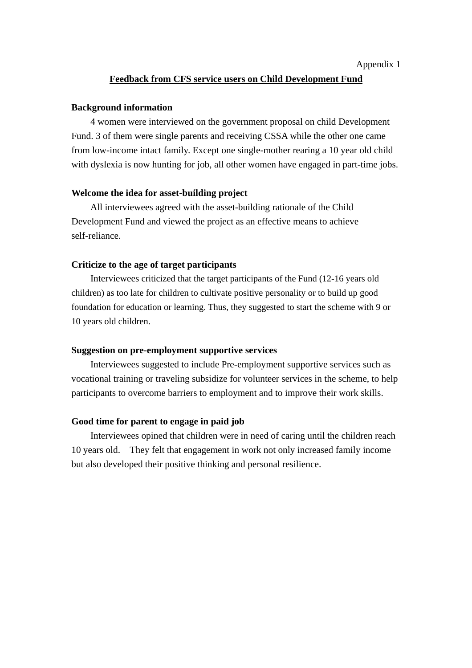#### Appendix 1

#### **Feedback from CFS service users on Child Development Fund**

#### **Background information**

4 women were interviewed on the government proposal on child Development Fund. 3 of them were single parents and receiving CSSA while the other one came from low-income intact family. Except one single-mother rearing a 10 year old child with dyslexia is now hunting for job, all other women have engaged in part-time jobs.

### **Welcome the idea for asset-building project**

All interviewees agreed with the asset-building rationale of the Child Development Fund and viewed the project as an effective means to achieve self-reliance.

### **Criticize to the age of target participants**

Interviewees criticized that the target participants of the Fund (12-16 years old children) as too late for children to cultivate positive personality or to build up good foundation for education or learning. Thus, they suggested to start the scheme with 9 or 10 years old children.

#### **Suggestion on pre-employment supportive services**

Interviewees suggested to include Pre-employment supportive services such as vocational training or traveling subsidize for volunteer services in the scheme, to help participants to overcome barriers to employment and to improve their work skills.

#### **Good time for parent to engage in paid job**

Interviewees opined that children were in need of caring until the children reach 10 years old. They felt that engagement in work not only increased family income but also developed their positive thinking and personal resilience.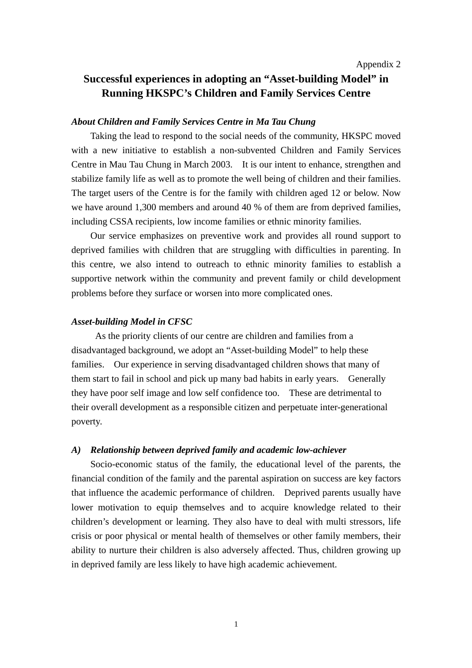#### Appendix 2

# **Successful experiences in adopting an "Asset-building Model" in Running HKSPC's Children and Family Services Centre**

### *About Children and Family Services Centre in Ma Tau Chung*

Taking the lead to respond to the social needs of the community, HKSPC moved with a new initiative to establish a non-subvented Children and Family Services Centre in Mau Tau Chung in March 2003. It is our intent to enhance, strengthen and stabilize family life as well as to promote the well being of children and their families. The target users of the Centre is for the family with children aged 12 or below. Now we have around 1,300 members and around 40 % of them are from deprived families, including CSSA recipients, low income families or ethnic minority families.

Our service emphasizes on preventive work and provides all round support to deprived families with children that are struggling with difficulties in parenting. In this centre, we also intend to outreach to ethnic minority families to establish a supportive network within the community and prevent family or child development problems before they surface or worsen into more complicated ones.

#### *Asset-building Model in CFSC*

 As the priority clients of our centre are children and families from a disadvantaged background, we adopt an "Asset-building Model" to help these families. Our experience in serving disadvantaged children shows that many of them start to fail in school and pick up many bad habits in early years. Generally they have poor self image and low self confidence too. These are detrimental to their overall development as a responsible citizen and perpetuate inter-generational poverty.

#### *A) Relationship between deprived family and academic low-achiever*

Socio-economic status of the family, the educational level of the parents, the financial condition of the family and the parental aspiration on success are key factors that influence the academic performance of children. Deprived parents usually have lower motivation to equip themselves and to acquire knowledge related to their children's development or learning. They also have to deal with multi stressors, life crisis or poor physical or mental health of themselves or other family members, their ability to nurture their children is also adversely affected. Thus, children growing up in deprived family are less likely to have high academic achievement.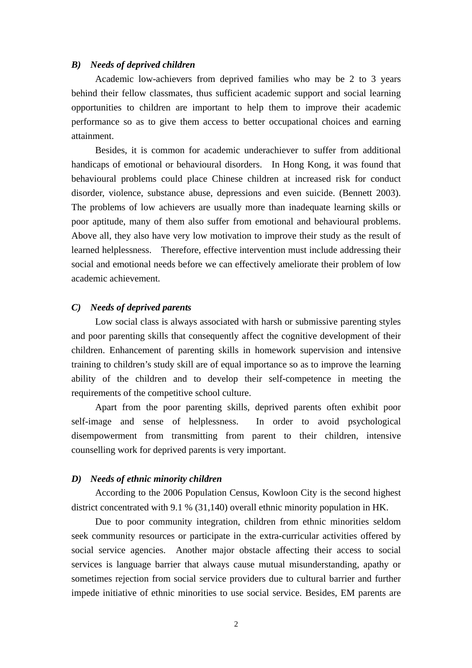#### *B) Needs of deprived children*

Academic low-achievers from deprived families who may be 2 to 3 years behind their fellow classmates, thus sufficient academic support and social learning opportunities to children are important to help them to improve their academic performance so as to give them access to better occupational choices and earning attainment.

Besides, it is common for academic underachiever to suffer from additional handicaps of emotional or behavioural disorders. In Hong Kong, it was found that behavioural problems could place Chinese children at increased risk for conduct disorder, violence, substance abuse, depressions and even suicide. (Bennett 2003). The problems of low achievers are usually more than inadequate learning skills or poor aptitude, many of them also suffer from emotional and behavioural problems. Above all, they also have very low motivation to improve their study as the result of learned helplessness. Therefore, effective intervention must include addressing their social and emotional needs before we can effectively ameliorate their problem of low academic achievement.

#### *C) Needs of deprived parents*

Low social class is always associated with harsh or submissive parenting styles and poor parenting skills that consequently affect the cognitive development of their children. Enhancement of parenting skills in homework supervision and intensive training to children's study skill are of equal importance so as to improve the learning ability of the children and to develop their self-competence in meeting the requirements of the competitive school culture.

Apart from the poor parenting skills, deprived parents often exhibit poor self-image and sense of helplessness. In order to avoid psychological disempowerment from transmitting from parent to their children, intensive counselling work for deprived parents is very important.

#### *D) Needs of ethnic minority children*

According to the 2006 Population Census, Kowloon City is the second highest district concentrated with 9.1 % (31,140) overall ethnic minority population in HK.

Due to poor community integration, children from ethnic minorities seldom seek community resources or participate in the extra-curricular activities offered by social service agencies. Another major obstacle affecting their access to social services is language barrier that always cause mutual misunderstanding, apathy or sometimes rejection from social service providers due to cultural barrier and further impede initiative of ethnic minorities to use social service. Besides, EM parents are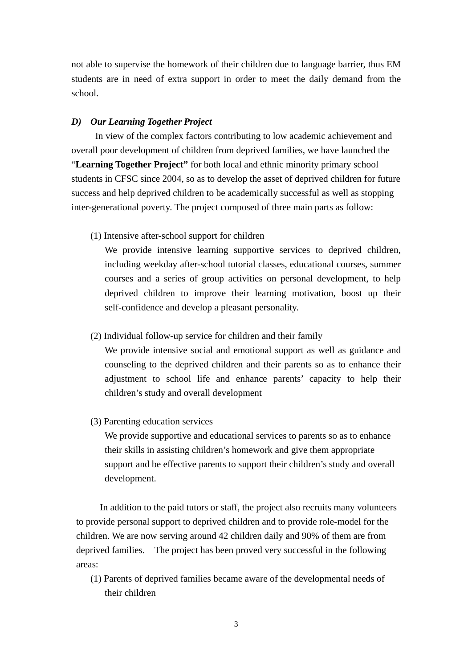not able to supervise the homework of their children due to language barrier, thus EM students are in need of extra support in order to meet the daily demand from the school.

### *D) Our Learning Together Project*

In view of the complex factors contributing to low academic achievement and overall poor development of children from deprived families, we have launched the "**Learning Together Project"** for both local and ethnic minority primary school students in CFSC since 2004, so as to develop the asset of deprived children for future success and help deprived children to be academically successful as well as stopping inter-generational poverty. The project composed of three main parts as follow:

(1) Intensive after-school support for children

We provide intensive learning supportive services to deprived children, including weekday after-school tutorial classes, educational courses, summer courses and a series of group activities on personal development, to help deprived children to improve their learning motivation, boost up their self-confidence and develop a pleasant personality.

(2) Individual follow-up service for children and their family

We provide intensive social and emotional support as well as guidance and counseling to the deprived children and their parents so as to enhance their adjustment to school life and enhance parents' capacity to help their children's study and overall development

(3) Parenting education services

We provide supportive and educational services to parents so as to enhance their skills in assisting children's homework and give them appropriate support and be effective parents to support their children's study and overall development.

 In addition to the paid tutors or staff, the project also recruits many volunteers to provide personal support to deprived children and to provide role-model for the children. We are now serving around 42 children daily and 90% of them are from deprived families. The project has been proved very successful in the following areas:

(1) Parents of deprived families became aware of the developmental needs of their children